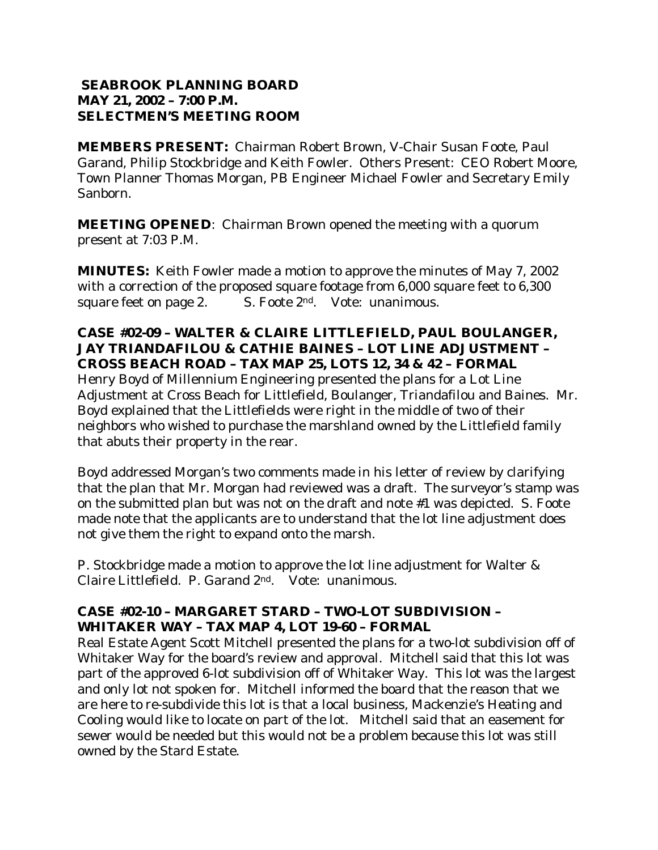### **SEABROOK PLANNING BOARD MAY 21, 2002 – 7:00 P.M. SELECTMEN'S MEETING ROOM**

**MEMBERS PRESENT:** Chairman Robert Brown, V-Chair Susan Foote, Paul Garand, Philip Stockbridge and Keith Fowler. Others Present: CEO Robert Moore, Town Planner Thomas Morgan, PB Engineer Michael Fowler and Secretary Emily Sanborn.

**MEETING OPENED**: Chairman Brown opened the meeting with a quorum present at 7:03 P.M.

**MINUTES:** Keith Fowler made a motion to approve the minutes of May 7, 2002 with a correction of the proposed square footage from 6,000 square feet to 6,300 square feet on page 2. S. Foote 2<sup>nd</sup>. Vote: unanimous.

#### **CASE #02-09 – WALTER & CLAIRE LITTLEFIELD, PAUL BOULANGER, JAY TRIANDAFILOU & CATHIE BAINES – LOT LINE ADJUSTMENT – CROSS BEACH ROAD – TAX MAP 25, LOTS 12, 34 & 42 – FORMAL**

Henry Boyd of Millennium Engineering presented the plans for a Lot Line Adjustment at Cross Beach for Littlefield, Boulanger, Triandafilou and Baines. Mr. Boyd explained that the Littlefields were right in the middle of two of their neighbors who wished to purchase the marshland owned by the Littlefield family that abuts their property in the rear.

Boyd addressed Morgan's two comments made in his letter of review by clarifying that the plan that Mr. Morgan had reviewed was a draft. The surveyor's stamp was on the submitted plan but was not on the draft and note #1 was depicted. S. Foote made note that the applicants are to understand that the lot line adjustment does not give them the right to expand onto the marsh.

P. Stockbridge made a motion to approve the lot line adjustment for Walter & Claire Littlefield. P. Garand 2nd. Vote: unanimous.

## **CASE #02-10 – MARGARET STARD – TWO-LOT SUBDIVISION – WHITAKER WAY – TAX MAP 4, LOT 19-60 – FORMAL**

Real Estate Agent Scott Mitchell presented the plans for a two-lot subdivision off of Whitaker Way for the board's review and approval. Mitchell said that this lot was part of the approved 6-lot subdivision off of Whitaker Way. This lot was the largest and only lot not spoken for. Mitchell informed the board that the reason that we are here to re-subdivide this lot is that a local business, Mackenzie's Heating and Cooling would like to locate on part of the lot. Mitchell said that an easement for sewer would be needed but this would not be a problem because this lot was still owned by the Stard Estate.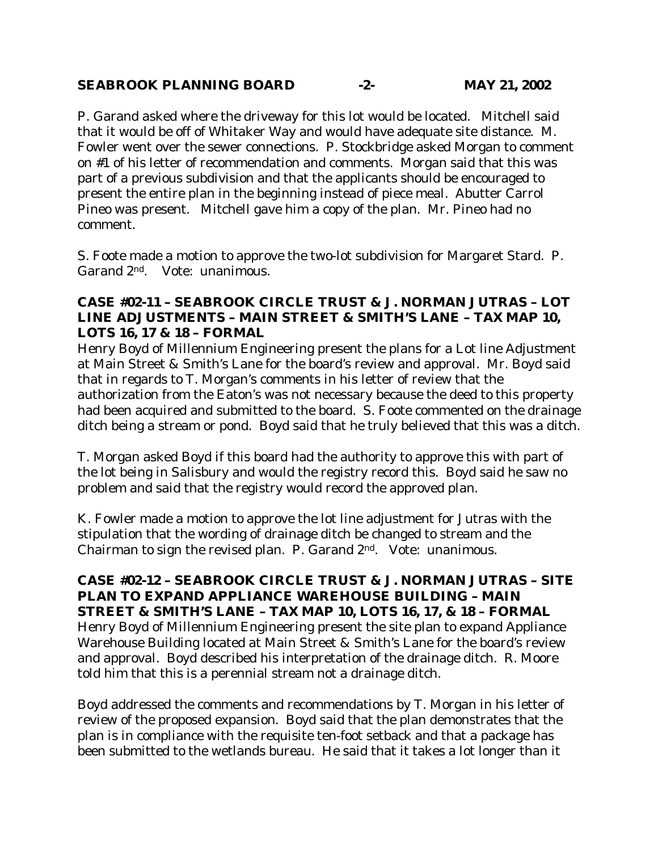## **SEABROOK PLANNING BOARD -2- MAY 21, 2002**

P. Garand asked where the driveway for this lot would be located. Mitchell said that it would be off of Whitaker Way and would have adequate site distance. M. Fowler went over the sewer connections. P. Stockbridge asked Morgan to comment on #1 of his letter of recommendation and comments. Morgan said that this was part of a previous subdivision and that the applicants should be encouraged to present the entire plan in the beginning instead of piece meal. Abutter Carrol Pineo was present. Mitchell gave him a copy of the plan. Mr. Pineo had no comment.

S. Foote made a motion to approve the two-lot subdivision for Margaret Stard. P. Garand 2nd. Vote: unanimous.

### **CASE #02-11 – SEABROOK CIRCLE TRUST & J. NORMAN JUTRAS – LOT LINE ADJUSTMENTS – MAIN STREET & SMITH'S LANE – TAX MAP 10, LOTS 16, 17 & 18 – FORMAL**

Henry Boyd of Millennium Engineering present the plans for a Lot line Adjustment at Main Street & Smith's Lane for the board's review and approval. Mr. Boyd said that in regards to T. Morgan's comments in his letter of review that the authorization from the Eaton's was not necessary because the deed to this property had been acquired and submitted to the board. S. Foote commented on the drainage ditch being a stream or pond. Boyd said that he truly believed that this was a ditch.

T. Morgan asked Boyd if this board had the authority to approve this with part of the lot being in Salisbury and would the registry record this. Boyd said he saw no problem and said that the registry would record the approved plan.

K. Fowler made a motion to approve the lot line adjustment for Jutras with the stipulation that the wording of drainage ditch be changed to stream and the Chairman to sign the revised plan. P. Garand 2nd. Vote: unanimous.

**CASE #02-12 – SEABROOK CIRCLE TRUST & J. NORMAN JUTRAS – SITE PLAN TO EXPAND APPLIANCE WAREHOUSE BUILDING – MAIN STREET & SMITH'S LANE – TAX MAP 10, LOTS 16, 17, & 18 – FORMAL**  Henry Boyd of Millennium Engineering present the site plan to expand Appliance Warehouse Building located at Main Street & Smith's Lane for the board's review and approval. Boyd described his interpretation of the drainage ditch. R. Moore told him that this is a perennial stream not a drainage ditch.

Boyd addressed the comments and recommendations by T. Morgan in his letter of review of the proposed expansion. Boyd said that the plan demonstrates that the plan is in compliance with the requisite ten-foot setback and that a package has been submitted to the wetlands bureau. He said that it takes a lot longer than it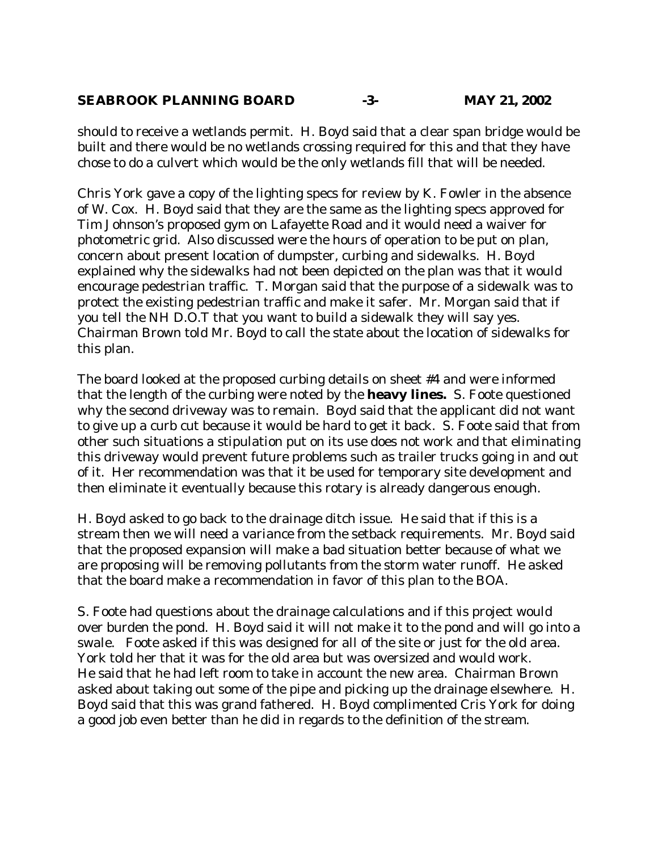### **SEABROOK PLANNING BOARD -3- MAY 21, 2002**

should to receive a wetlands permit. H. Boyd said that a clear span bridge would be built and there would be no wetlands crossing required for this and that they have chose to do a culvert which would be the only wetlands fill that will be needed.

Chris York gave a copy of the lighting specs for review by K. Fowler in the absence of W. Cox. H. Boyd said that they are the same as the lighting specs approved for Tim Johnson's proposed gym on Lafayette Road and it would need a waiver for photometric grid. Also discussed were the hours of operation to be put on plan, concern about present location of dumpster, curbing and sidewalks. H. Boyd explained why the sidewalks had not been depicted on the plan was that it would encourage pedestrian traffic. T. Morgan said that the purpose of a sidewalk was to protect the existing pedestrian traffic and make it safer. Mr. Morgan said that if you tell the NH D.O.T that you want to build a sidewalk they will say yes. Chairman Brown told Mr. Boyd to call the state about the location of sidewalks for this plan.

The board looked at the proposed curbing details on sheet #4 and were informed that the length of the curbing were noted by the **heavy lines.** S. Foote questioned why the second driveway was to remain. Boyd said that the applicant did not want to give up a curb cut because it would be hard to get it back. S. Foote said that from other such situations a stipulation put on its use does not work and that eliminating this driveway would prevent future problems such as trailer trucks going in and out of it. Her recommendation was that it be used for temporary site development and then eliminate it eventually because this rotary is already dangerous enough.

H. Boyd asked to go back to the drainage ditch issue. He said that if this is a stream then we will need a variance from the setback requirements. Mr. Boyd said that the proposed expansion will make a bad situation better because of what we are proposing will be removing pollutants from the storm water runoff. He asked that the board make a recommendation in favor of this plan to the BOA.

S. Foote had questions about the drainage calculations and if this project would over burden the pond. H. Boyd said it will not make it to the pond and will go into a swale. Foote asked if this was designed for all of the site or just for the old area. York told her that it was for the old area but was oversized and would work. He said that he had left room to take in account the new area. Chairman Brown asked about taking out some of the pipe and picking up the drainage elsewhere. H. Boyd said that this was grand fathered. H. Boyd complimented Cris York for doing a good job even better than he did in regards to the definition of the stream.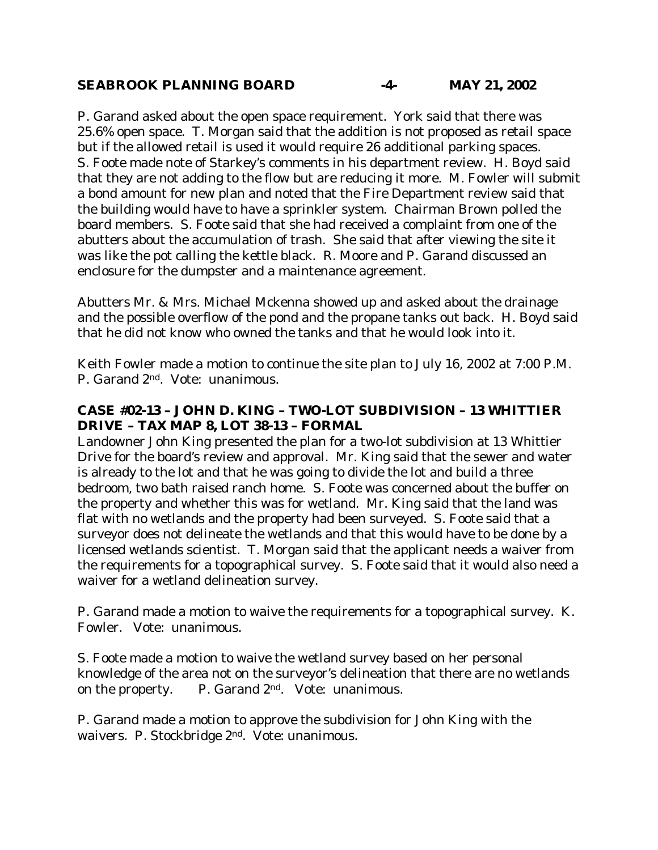#### **SEABROOK PLANNING BOARD -4- MAY 21, 2002**

P. Garand asked about the open space requirement. York said that there was 25.6% open space. T. Morgan said that the addition is not proposed as retail space but if the allowed retail is used it would require 26 additional parking spaces. S. Foote made note of Starkey's comments in his department review. H. Boyd said that they are not adding to the flow but are reducing it more. M. Fowler will submit a bond amount for new plan and noted that the Fire Department review said that the building would have to have a sprinkler system. Chairman Brown polled the board members. S. Foote said that she had received a complaint from one of the abutters about the accumulation of trash. She said that after viewing the site it was like the pot calling the kettle black. R. Moore and P. Garand discussed an enclosure for the dumpster and a maintenance agreement.

Abutters Mr. & Mrs. Michael Mckenna showed up and asked about the drainage and the possible overflow of the pond and the propane tanks out back. H. Boyd said that he did not know who owned the tanks and that he would look into it.

Keith Fowler made a motion to continue the site plan to July 16, 2002 at 7:00 P.M. P. Garand 2nd. Vote: unanimous.

## **CASE #02-13 – JOHN D. KING – TWO-LOT SUBDIVISION – 13 WHITTIER DRIVE – TAX MAP 8, LOT 38-13 – FORMAL**

Landowner John King presented the plan for a two-lot subdivision at 13 Whittier Drive for the board's review and approval. Mr. King said that the sewer and water is already to the lot and that he was going to divide the lot and build a three bedroom, two bath raised ranch home. S. Foote was concerned about the buffer on the property and whether this was for wetland. Mr. King said that the land was flat with no wetlands and the property had been surveyed. S. Foote said that a surveyor does not delineate the wetlands and that this would have to be done by a licensed wetlands scientist. T. Morgan said that the applicant needs a waiver from the requirements for a topographical survey. S. Foote said that it would also need a waiver for a wetland delineation survey.

P. Garand made a motion to waive the requirements for a topographical survey. K. Fowler. Vote: unanimous.

S. Foote made a motion to waive the wetland survey based on her personal knowledge of the area not on the surveyor's delineation that there are no wetlands on the property.  $P.$  Garand  $2<sup>nd</sup>$ . Vote: unanimous.

P. Garand made a motion to approve the subdivision for John King with the waivers. P. Stockbridge 2nd. Vote: unanimous.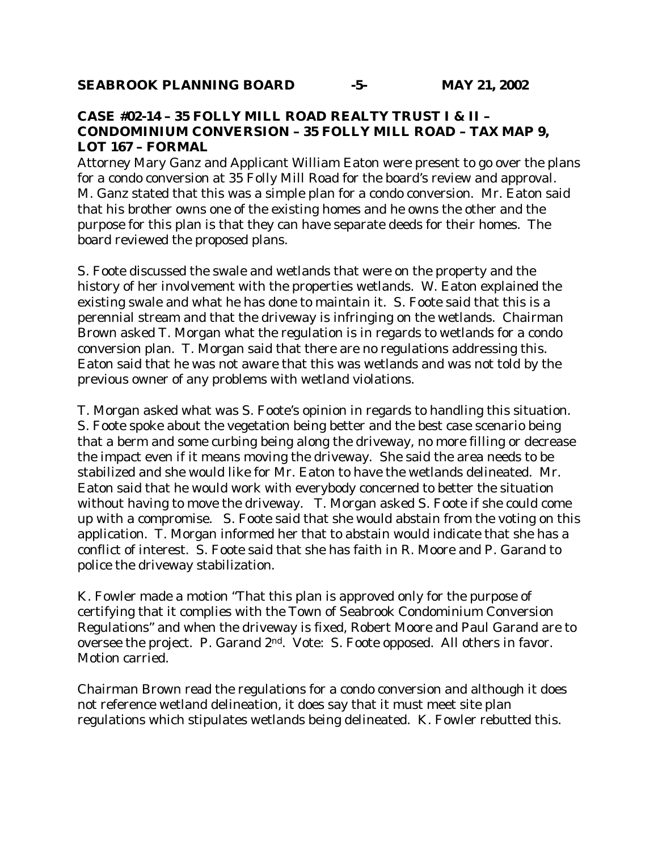### **CASE #02-14 – 35 FOLLY MILL ROAD REALTY TRUST I & II – CONDOMINIUM CONVERSION – 35 FOLLY MILL ROAD – TAX MAP 9, LOT 167 – FORMAL**

Attorney Mary Ganz and Applicant William Eaton were present to go over the plans for a condo conversion at 35 Folly Mill Road for the board's review and approval. M. Ganz stated that this was a simple plan for a condo conversion. Mr. Eaton said that his brother owns one of the existing homes and he owns the other and the purpose for this plan is that they can have separate deeds for their homes. The board reviewed the proposed plans.

S. Foote discussed the swale and wetlands that were on the property and the history of her involvement with the properties wetlands. W. Eaton explained the existing swale and what he has done to maintain it. S. Foote said that this is a perennial stream and that the driveway is infringing on the wetlands. Chairman Brown asked T. Morgan what the regulation is in regards to wetlands for a condo conversion plan. T. Morgan said that there are no regulations addressing this. Eaton said that he was not aware that this was wetlands and was not told by the previous owner of any problems with wetland violations.

T. Morgan asked what was S. Foote's opinion in regards to handling this situation. S. Foote spoke about the vegetation being better and the best case scenario being that a berm and some curbing being along the driveway, no more filling or decrease the impact even if it means moving the driveway. She said the area needs to be stabilized and she would like for Mr. Eaton to have the wetlands delineated. Mr. Eaton said that he would work with everybody concerned to better the situation without having to move the driveway. T. Morgan asked S. Foote if she could come up with a compromise. S. Foote said that she would abstain from the voting on this application. T. Morgan informed her that to abstain would indicate that she has a conflict of interest. S. Foote said that she has faith in R. Moore and P. Garand to police the driveway stabilization.

K. Fowler made a motion "That this plan is approved only for the purpose of certifying that it complies with the Town of Seabrook Condominium Conversion Regulations" and when the driveway is fixed, Robert Moore and Paul Garand are to oversee the project. P. Garand 2nd. Vote: S. Foote opposed. All others in favor. Motion carried.

Chairman Brown read the regulations for a condo conversion and although it does not reference wetland delineation, it does say that it must meet site plan regulations which stipulates wetlands being delineated. K. Fowler rebutted this.